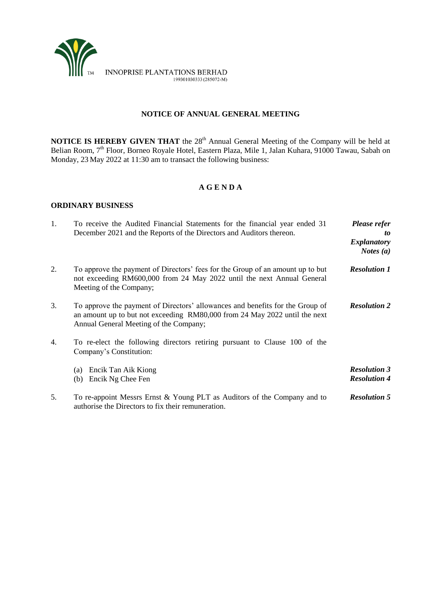

# **NOTICE OF ANNUAL GENERAL MEETING**

**NOTICE IS HEREBY GIVEN THAT** the 28<sup>th</sup> Annual General Meeting of the Company will be held at Belian Room, 7<sup>th</sup> Floor, Borneo Royale Hotel, Eastern Plaza, Mile 1, Jalan Kuhara, 91000 Tawau, Sabah on Monday, 23 May 2022 at 11:30 am to transact the following business:

# **A G E N D A**

# **ORDINARY BUSINESS**

| 1. | To receive the Audited Financial Statements for the financial year ended 31<br>December 2021 and the Reports of the Directors and Auditors thereon.                                                   | Please refer<br>to<br><b>Explanatory</b><br><i>Notes</i> $(a)$ |
|----|-------------------------------------------------------------------------------------------------------------------------------------------------------------------------------------------------------|----------------------------------------------------------------|
| 2. | To approve the payment of Directors' fees for the Group of an amount up to but<br>not exceeding RM600,000 from 24 May 2022 until the next Annual General<br>Meeting of the Company;                   | <b>Resolution 1</b>                                            |
| 3. | To approve the payment of Directors' allowances and benefits for the Group of<br>an amount up to but not exceeding RM80,000 from 24 May 2022 until the next<br>Annual General Meeting of the Company; | <b>Resolution 2</b>                                            |
| 4. | To re-elect the following directors retiring pursuant to Clause 100 of the<br>Company's Constitution:                                                                                                 |                                                                |
|    | Encik Tan Aik Kiong<br>(a)<br>Encik Ng Chee Fen<br>(b)                                                                                                                                                | <b>Resolution 3</b><br><b>Resolution 4</b>                     |
| 5. | To re-appoint Messrs Ernst & Young PLT as Auditors of the Company and to<br>authorise the Directors to fix their remuneration.                                                                        | <b>Resolution 5</b>                                            |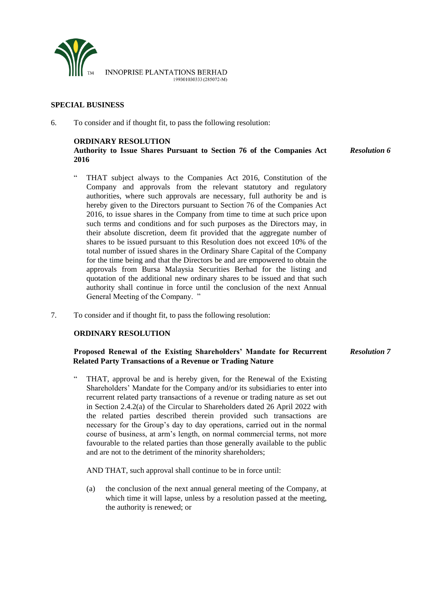

### **SPECIAL BUSINESS**

6. To consider and if thought fit, to pass the following resolution:

### **ORDINARY RESOLUTION**

**Authority to Issue Shares Pursuant to Section 76 of the Companies Act 2016** *Resolution 6*

- " THAT subject always to the Companies Act 2016, Constitution of the Company and approvals from the relevant statutory and regulatory authorities, where such approvals are necessary, full authority be and is hereby given to the Directors pursuant to Section 76 of the Companies Act 2016, to issue shares in the Company from time to time at such price upon such terms and conditions and for such purposes as the Directors may, in their absolute discretion, deem fit provided that the aggregate number of shares to be issued pursuant to this Resolution does not exceed 10% of the total number of issued shares in the Ordinary Share Capital of the Company for the time being and that the Directors be and are empowered to obtain the approvals from Bursa Malaysia Securities Berhad for the listing and quotation of the additional new ordinary shares to be issued and that such authority shall continue in force until the conclusion of the next Annual General Meeting of the Company. "
- 7. To consider and if thought fit, to pass the following resolution:

### **ORDINARY RESOLUTION**

#### **Proposed Renewal of the Existing Shareholders' Mandate for Recurrent Related Party Transactions of a Revenue or Trading Nature** *Resolution 7*

" THAT, approval be and is hereby given, for the Renewal of the Existing Shareholders' Mandate for the Company and/or its subsidiaries to enter into recurrent related party transactions of a revenue or trading nature as set out in Section 2.4.2(a) of the Circular to Shareholders dated 26 April 2022 with the related parties described therein provided such transactions are necessary for the Group's day to day operations, carried out in the normal course of business, at arm's length, on normal commercial terms, not more favourable to the related parties than those generally available to the public and are not to the detriment of the minority shareholders;

AND THAT, such approval shall continue to be in force until:

(a) the conclusion of the next annual general meeting of the Company, at which time it will lapse, unless by a resolution passed at the meeting, the authority is renewed; or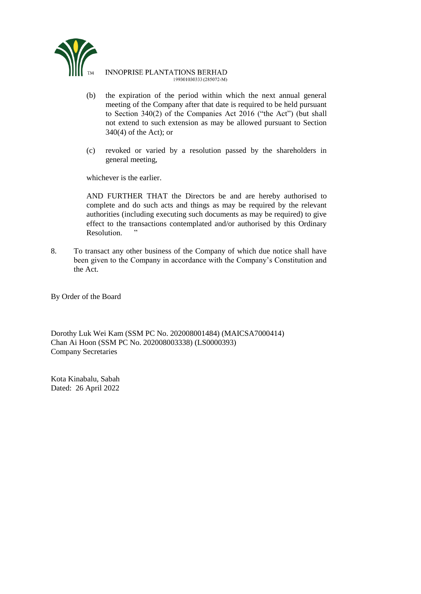

### **INNOPRISE PLANTATIONS BERHAD** 199301030333 (285072-M)

- (b) the expiration of the period within which the next annual general meeting of the Company after that date is required to be held pursuant to Section 340(2) of the Companies Act 2016 ("the Act") (but shall not extend to such extension as may be allowed pursuant to Section 340(4) of the Act); or
- (c) revoked or varied by a resolution passed by the shareholders in general meeting,

whichever is the earlier.

AND FURTHER THAT the Directors be and are hereby authorised to complete and do such acts and things as may be required by the relevant authorities (including executing such documents as may be required) to give effect to the transactions contemplated and/or authorised by this Ordinary Resolution.

8. To transact any other business of the Company of which due notice shall have been given to the Company in accordance with the Company's Constitution and the Act.

By Order of the Board

Dorothy Luk Wei Kam (SSM PC No. 202008001484) (MAICSA7000414) Chan Ai Hoon (SSM PC No. 202008003338) (LS0000393) Company Secretaries

Kota Kinabalu, Sabah Dated: 26 April 2022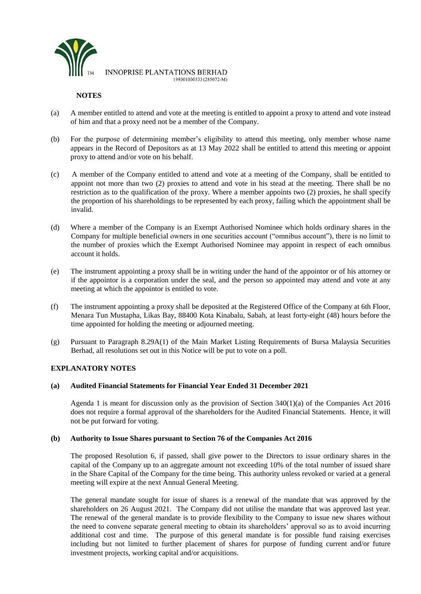

**INNOPRISE PLANTATIONS BERHAD** 199301030333 (285072-M)

# **NOTES**

- (a) A member entitled to attend and vote at the meeting is entitled to appoint a proxy to attend and vote instead of him and that a proxy need not be a member of the Company.
- (b) For the purpose of determining member's eligibility to attend this meeting, only member whose name appears in the Record of Depositors as at 13 May 2022 shall be entitled to attend this meeting or appoint proxy to attend and/or vote on his behalf.
- (c) A member of the Company entitled to attend and vote at a meeting of the Company, shall be entitled to appoint not more than two (2) proxies to attend and vote in his stead at the meeting. There shall be no restriction as to the qualification of the proxy. Where a member appoints two (2) proxies, he shall specify the proportion of his shareholdings to be represented by each proxy, failing which the appointment shall be invalid.
- (d) Where a member of the Company is an Exempt Authorised Nominee which holds ordinary shares in the Company for multiple beneficial owners in one securities account ("omnibus account"), there is no limit to the number of proxies which the Exempt Authorised Nominee may appoint in respect of each omnibus account it holds.
- (e) The instrument appointing a proxy shall be in writing under the hand of the appointor or of his attorney or if the appointor is a corporation under the seal, and the person so appointed may attend and vote at any meeting at which the appointor is entitled to vote.
- (f) The instrument appointing a proxy shall be deposited at the Registered Office of the Company at 6th Floor, Menara Tun Mustapha, Likas Bay, 88400 Kota Kinabalu, Sabah, at least forty-eight (48) hours before the time appointed for holding the meeting or adjourned meeting.
- (g) Pursuant to Paragraph 8.29A(1) of the Main Market Listing Requirements of Bursa Malaysia Securities Berhad, all resolutions set out in this Notice will be put to vote on a poll.

# **EXPLANATORY NOTES**

## **(a) Audited Financial Statements for Financial Year Ended 31 December 2021**

Agenda 1 is meant for discussion only as the provision of Section 340(1)(a) of the Companies Act 2016 does not require a formal approval of the shareholders for the Audited Financial Statements. Hence, it will not be put forward for voting.

## **(b) Authority to Issue Shares pursuant to Section 76 of the Companies Act 2016**

The proposed Resolution 6, if passed, shall give power to the Directors to issue ordinary shares in the capital of the Company up to an aggregate amount not exceeding 10% of the total number of issued share in the Share Capital of the Company for the time being. This authority unless revoked or varied at a general meeting will expire at the next Annual General Meeting.

The general mandate sought for issue of shares is a renewal of the mandate that was approved by the shareholders on 26 August 2021. The Company did not utilise the mandate that was approved last year. The renewal of the general mandate is to provide flexibility to the Company to issue new shares without the need to convene separate general meeting to obtain its shareholders' approval so as to avoid incurring additional cost and time. The purpose of this general mandate is for possible fund raising exercises including but not limited to further placement of shares for purpose of funding current and/or future investment projects, working capital and/or acquisitions.